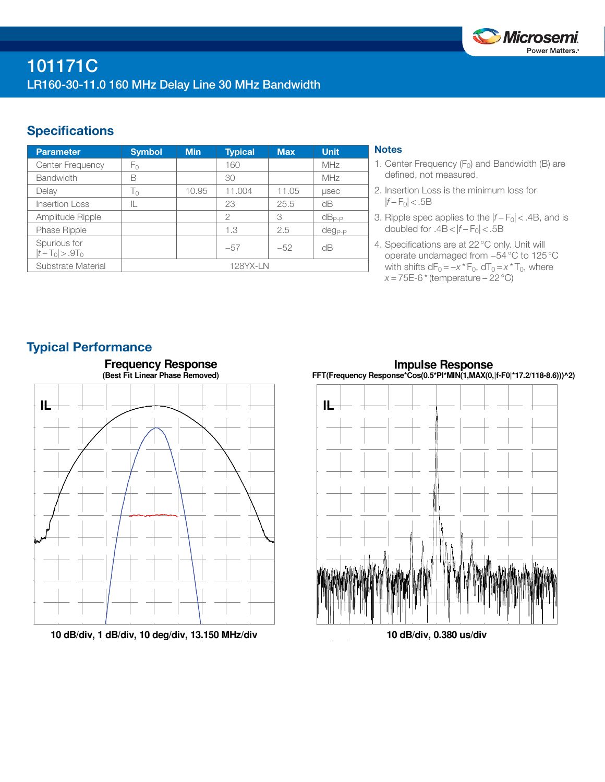

## **Specifications**

| <b>Parameter</b>                  | <b>Symbol</b> | <b>Min</b> | <b>Typical</b> | <b>Max</b> | <b>Unit</b>  |
|-----------------------------------|---------------|------------|----------------|------------|--------------|
| Center Frequency                  | F٥            |            | 160            |            | MHz          |
| <b>Bandwidth</b>                  | B             |            | 30             |            | MHz          |
| Delay                             | Tο            | 10.95      | 11.004         | 11.05      | <b>LISEC</b> |
| <b>Insertion Loss</b>             | IL.           |            | 23             | 25.5       | dB           |
| Amplitude Ripple                  |               |            | $\mathcal{P}$  | 3          | $dB_{P-P}$   |
| Phase Ripple                      |               |            | 1.3            | 2.5        | $deg_{P-P}$  |
| Spurious for<br>$ t-T_0  > .9T_0$ |               |            | $-57$          | $-52$      | dB           |
| Substrate Material                | 128YX-LN      |            |                |            |              |

## **Notes**

- 1. Center Frequency  $(F_0)$  and Bandwidth (B) are defined, not measured.
- 2. Insertion Loss is the minimum loss for  $|f - F_0|$  < .5B
- 3. Ripple spec applies to the |*f* − F0| < .4B, and is doubled for  $.4B < |f - F_0| < .5B$
- 4. Specifications are at 22°C only. Unit will operate undamaged from −54°C to 125°C with shifts  $dF_0 = -x * F_0$ ,  $dT_0 = x * T_0$ , where *x* = 75E-6 \* (temperature – 22 °C)

# Typical Performance



**10 dB/div, 1 dB/div, 10 deg/div, 13.150 MHz/div**

**Impulse Response FFT(Frequency Response\*Cos(0.5\*PI\*MIN(1,MAX(0,|f-F0|\*17.2/118-8.6)))^2)**